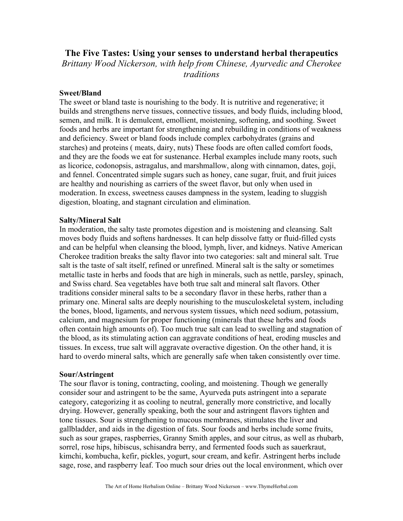# **The Five Tastes: Using your senses to understand herbal therapeutics**

*Brittany Wood Nickerson, with help from Chinese, Ayurvedic and Cherokee traditions*

## **Sweet/Bland**

The sweet or bland taste is nourishing to the body. It is nutritive and regenerative; it builds and strengthens nerve tissues, connective tissues, and body fluids, including blood, semen, and milk. It is demulcent, emollient, moistening, softening, and soothing. Sweet foods and herbs are important for strengthening and rebuilding in conditions of weakness and deficiency. Sweet or bland foods include complex carbohydrates (grains and starches) and proteins ( meats, dairy, nuts) These foods are often called comfort foods, and they are the foods we eat for sustenance. Herbal examples include many roots, such as licorice, codonopsis, astragalus, and marshmallow, along with cinnamon, dates, goji, and fennel. Concentrated simple sugars such as honey, cane sugar, fruit, and fruit juices are healthy and nourishing as carriers of the sweet flavor, but only when used in moderation. In excess, sweetness causes dampness in the system, leading to sluggish digestion, bloating, and stagnant circulation and elimination.

### **Salty/Mineral Salt**

In moderation, the salty taste promotes digestion and is moistening and cleansing. Salt moves body fluids and softens hardnesses. It can help dissolve fatty or fluid-filled cysts and can be helpful when cleansing the blood, lymph, liver, and kidneys. Native American Cherokee tradition breaks the salty flavor into two categories: salt and mineral salt. True salt is the taste of salt itself, refined or unrefined. Mineral salt is the salty or sometimes metallic taste in herbs and foods that are high in minerals, such as nettle, parsley, spinach, and Swiss chard. Sea vegetables have both true salt and mineral salt flavors. Other traditions consider mineral salts to be a secondary flavor in these herbs, rather than a primary one. Mineral salts are deeply nourishing to the musculoskeletal system, including the bones, blood, ligaments, and nervous system tissues, which need sodium, potassium, calcium, and magnesium for proper functioning (minerals that these herbs and foods often contain high amounts of). Too much true salt can lead to swelling and stagnation of the blood, as its stimulating action can aggravate conditions of heat, eroding muscles and tissues. In excess, true salt will aggravate overactive digestion. On the other hand, it is hard to overdo mineral salts, which are generally safe when taken consistently over time.

## **Sour/Astringent**

The sour flavor is toning, contracting, cooling, and moistening. Though we generally consider sour and astringent to be the same, Ayurveda puts astringent into a separate category, categorizing it as cooling to neutral, generally more constrictive, and locally drying. However, generally speaking, both the sour and astringent flavors tighten and tone tissues. Sour is strengthening to mucous membranes, stimulates the liver and gallbladder, and aids in the digestion of fats. Sour foods and herbs include some fruits, such as sour grapes, raspberries, Granny Smith apples, and sour citrus, as well as rhubarb, sorrel, rose hips, hibiscus, schisandra berry, and fermented foods such as sauerkraut, kimchi, kombucha, kefir, pickles, yogurt, sour cream, and kefir. Astringent herbs include sage, rose, and raspberry leaf. Too much sour dries out the local environment, which over